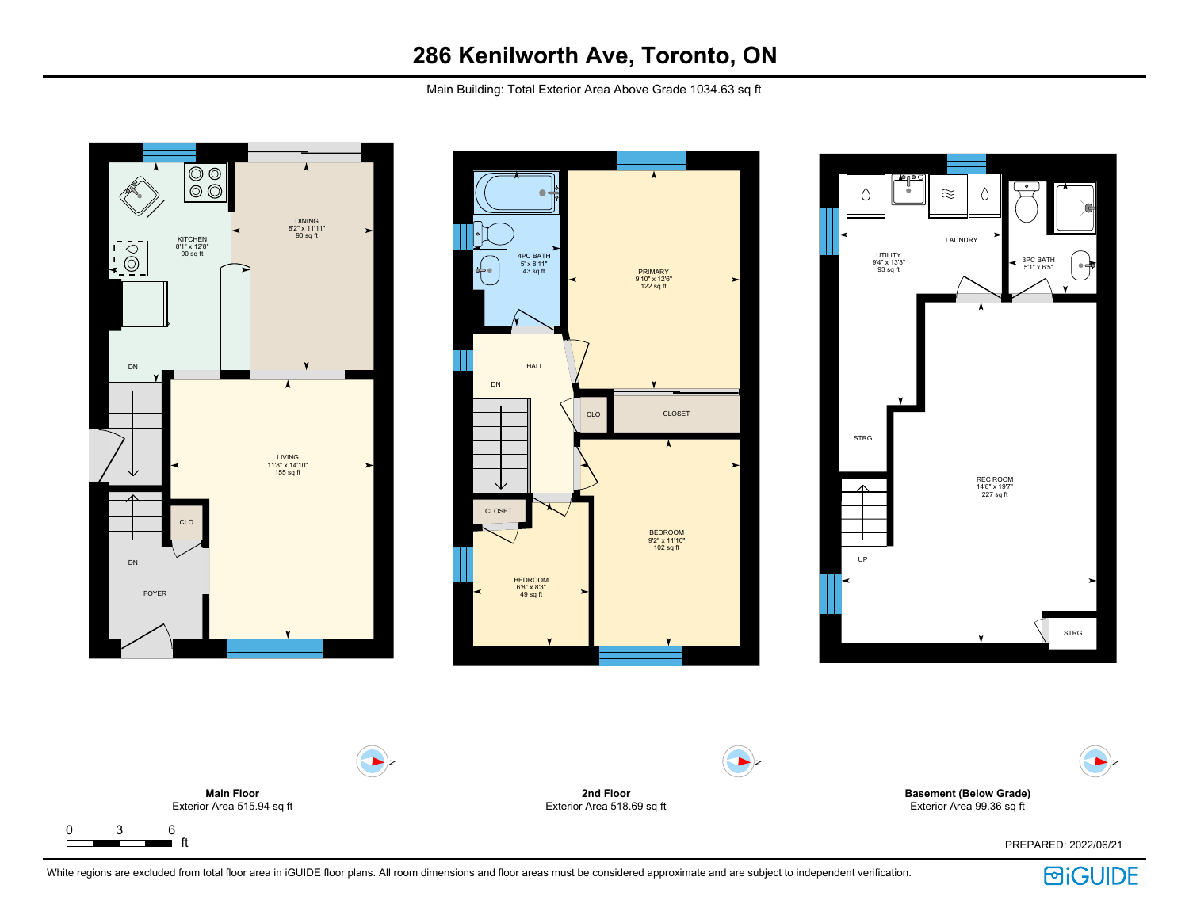Main Building: Total Exterior Area Above Grade 1034.63 sq ft









White regions are excluded from total floor area in iGUIDE floor plans. All room dimensions and floor areas must be considered approximate and are subject to independent verification.

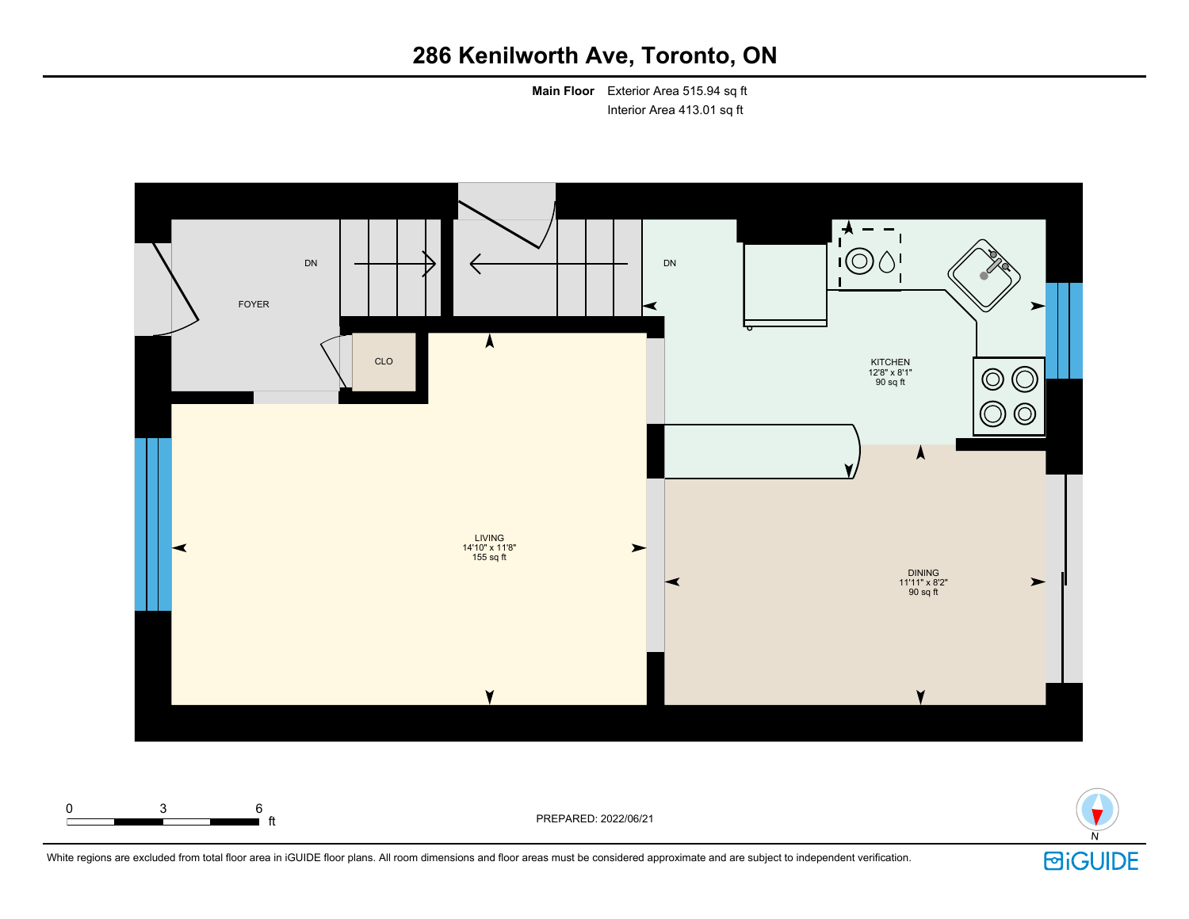**Main Floor** Exterior Area 515.94 sq ft Interior Area 413.01 sq ft





White regions are excluded from total floor area in iGUIDE floor plans. All room dimensions and floor areas must be considered approximate and are subject to independent verification.

ft PREPARED: 2022/06/21

0 3 6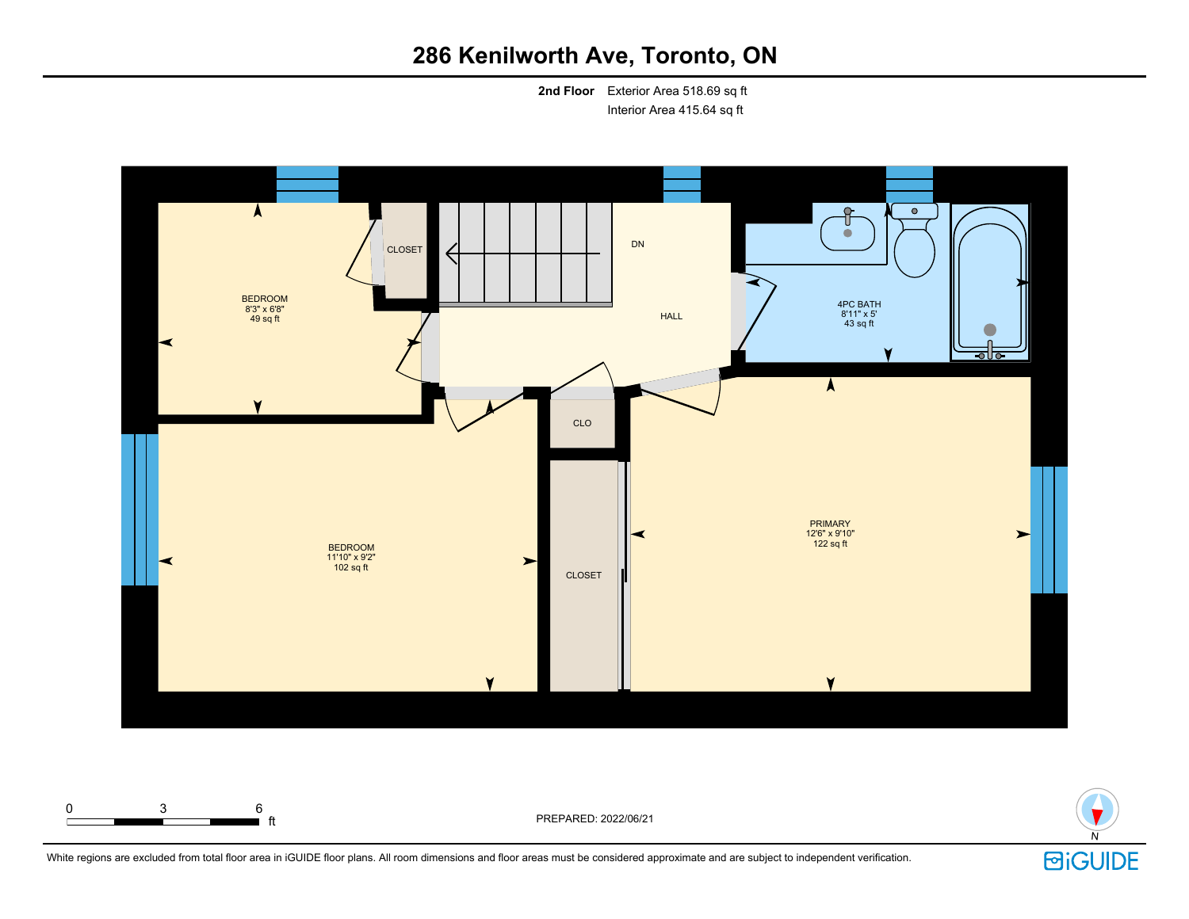**2nd Floor** Exterior Area 518.69 sq ft Interior Area 415.64 sq ft





White regions are excluded from total floor area in iGUIDE floor plans. All room dimensions and floor areas must be considered approximate and are subject to independent verification.

ft PREPARED: 2022/06/21

0 3 6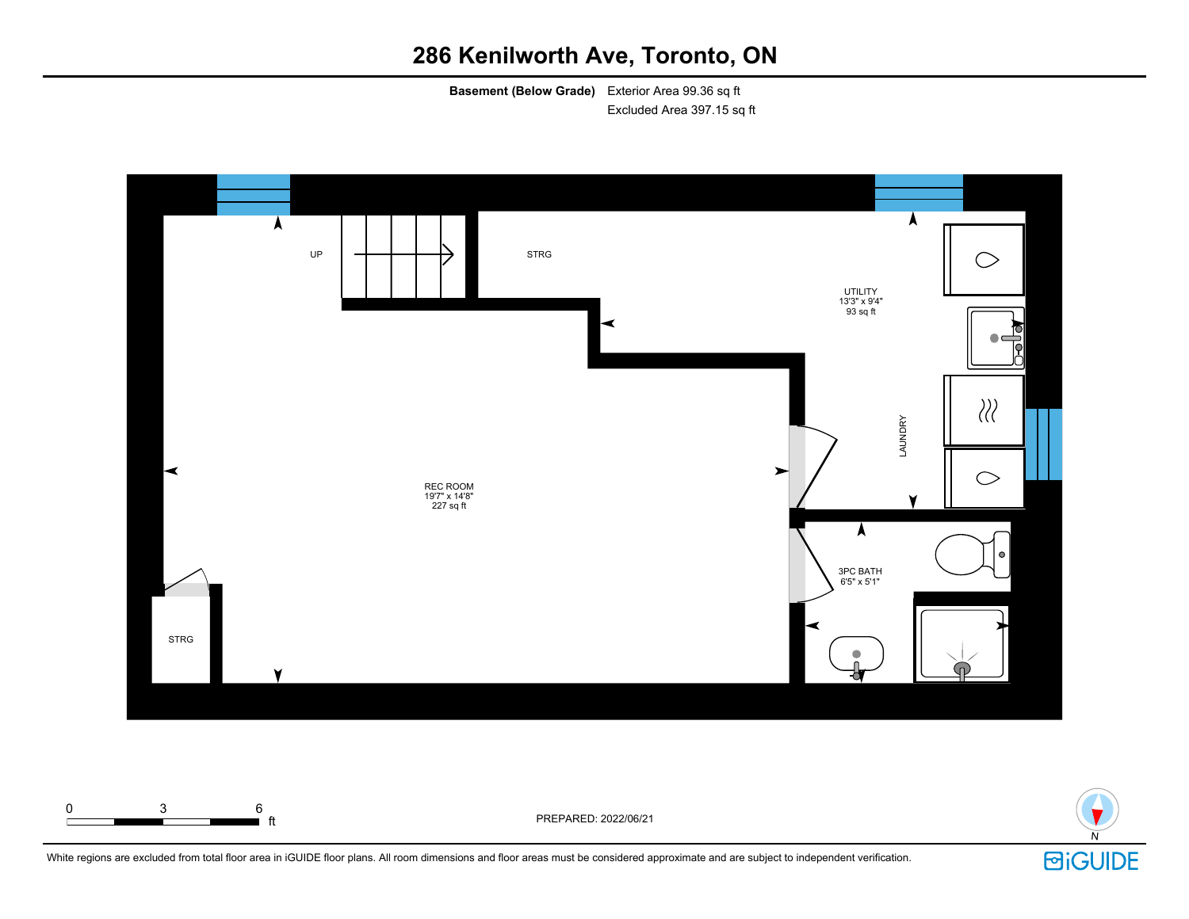**Basement (Below Grade)** Exterior Area 99.36 sq ft Excluded Area 397.15 sq ft





White regions are excluded from total floor area in iGUIDE floor plans. All room dimensions and floor areas must be considered approximate and are subject to independent verification.

ft PREPARED: 2022/06/21

0 3 6

 $\mathsf{r}$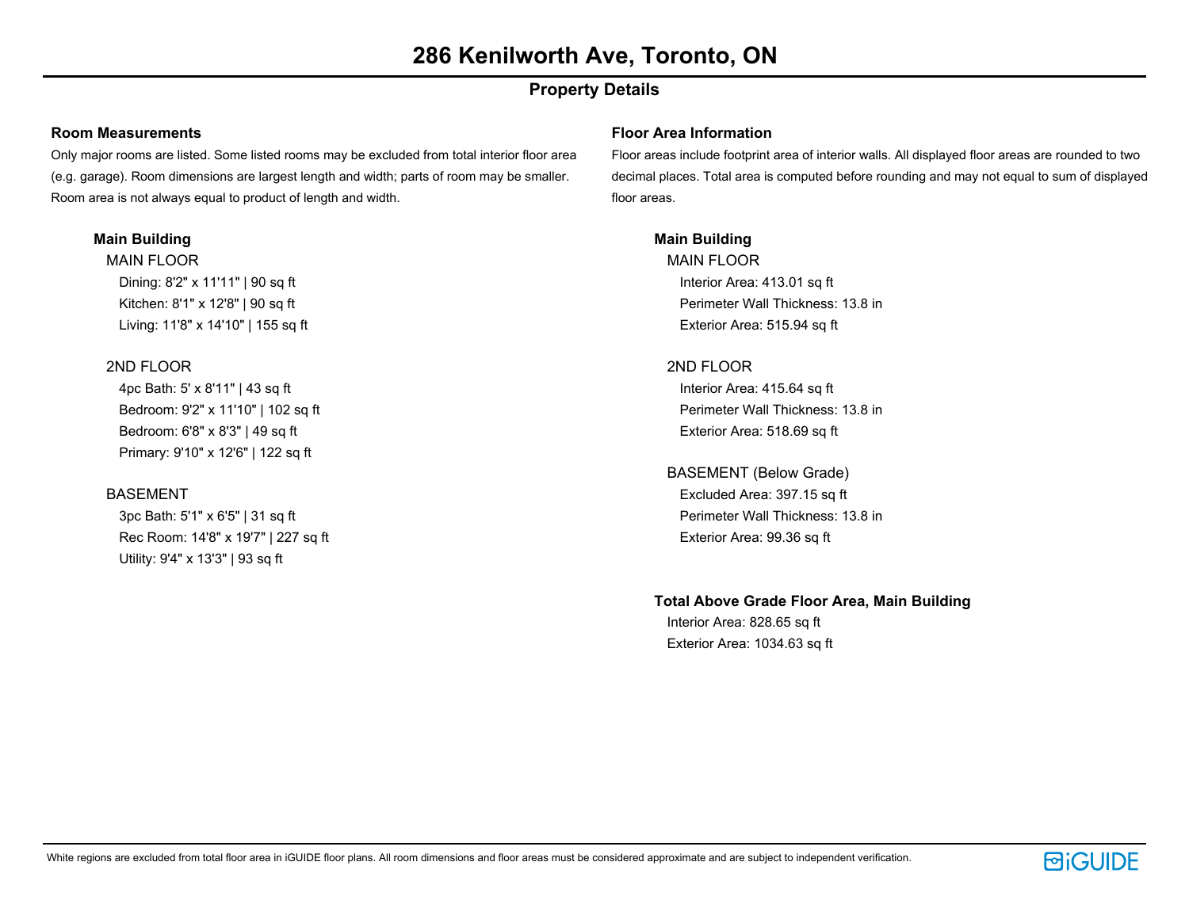# **Property Details**

#### **Room Measurements**

Only major rooms are listed. Some listed rooms may be excluded from total interior floor area (e.g. garage). Room dimensions are largest length and width; parts of room may be smaller. Room area is not always equal to product of length and width.

### **Main Building**

MAIN FLOOR Dining: 8'2" x 11'11" | 90 sq ft Kitchen: 8'1" x 12'8" | 90 sq ft Living: 11'8" x 14'10" | 155 sq ft

### 2ND FLOOR

4pc Bath: 5' x 8'11" | 43 sq ft Bedroom: 9'2" x 11'10" | 102 sq ft Bedroom: 6'8" x 8'3" | 49 sq ft Primary: 9'10" x 12'6" | 122 sq ft

### BASEMENT

3pc Bath: 5'1" x 6'5" | 31 sq ft Rec Room: 14'8" x 19'7" | 227 sq ft Utility: 9'4" x 13'3" | 93 sq ft

#### **Floor Area Information**

Floor areas include footprint area of interior walls. All displayed floor areas are rounded to two decimal places. Total area is computed before rounding and may not equal to sum of displayed floor areas.

### **Main Building**

MAIN FLOOR Interior Area: 413.01 sq ft Perimeter Wall Thickness: 13.8 in Exterior Area: 515.94 sq ft

### 2ND FLOOR

Interior Area: 415.64 sq ft Perimeter Wall Thickness: 13.8 in Exterior Area: 518.69 sq ft

## BASEMENT (Below Grade)

Excluded Area: 397.15 sq ft Perimeter Wall Thickness: 13.8 in Exterior Area: 99.36 sq ft

### **Total Above Grade Floor Area, Main Building**

Interior Area: 828.65 sq ft Exterior Area: 1034.63 sq ft